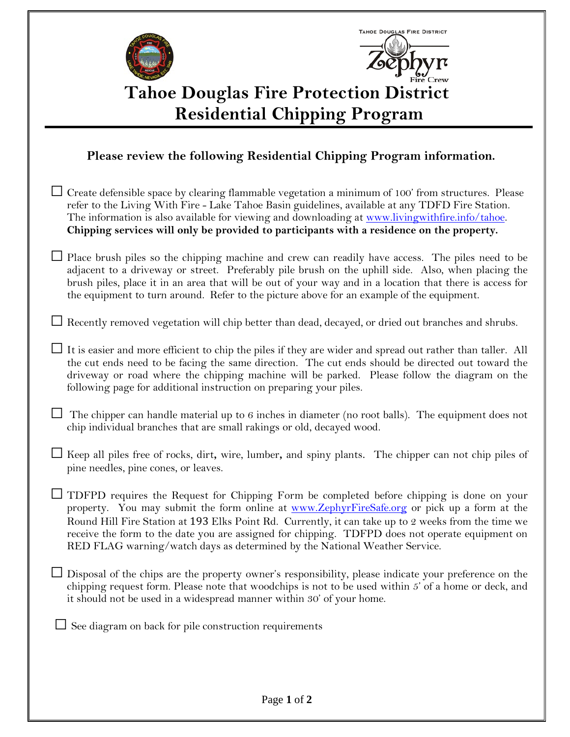| <b>TAHOE DOUGLAS FIRE DISTRICT</b><br><b>Tahoe Douglas Fire Protection District</b><br><b>Residential Chipping Program</b>                                                                                                                                                                                                                                                                                                                                                              |  |
|-----------------------------------------------------------------------------------------------------------------------------------------------------------------------------------------------------------------------------------------------------------------------------------------------------------------------------------------------------------------------------------------------------------------------------------------------------------------------------------------|--|
| Please review the following Residential Chipping Program information.                                                                                                                                                                                                                                                                                                                                                                                                                   |  |
| $\Box$ Create defensible space by clearing flammable vegetation a minimum of 100' from structures. Please<br>refer to the Living With Fire - Lake Tahoe Basin guidelines, available at any TDFD Fire Station.<br>The information is also available for viewing and downloading at www.livingwithfire.info/tahoe.<br>Chipping services will only be provided to participants with a residence on the property.                                                                           |  |
| Place brush piles so the chipping machine and crew can readily have access. The piles need to be<br>adjacent to a driveway or street. Preferably pile brush on the uphill side. Also, when placing the<br>brush piles, place it in an area that will be out of your way and in a location that there is access for<br>the equipment to turn around. Refer to the picture above for an example of the equipment.                                                                         |  |
| $\Box$ Recently removed vegetation will chip better than dead, decayed, or dried out branches and shrubs.                                                                                                                                                                                                                                                                                                                                                                               |  |
| It is easier and more efficient to chip the piles if they are wider and spread out rather than taller. All<br>the cut ends need to be facing the same direction. The cut ends should be directed out toward the<br>driveway or road where the chipping machine will be parked. Please follow the diagram on the<br>following page for additional instruction on preparing your piles.                                                                                                   |  |
| The chipper can handle material up to 6 inches in diameter (no root balls). The equipment does not<br>chip individual branches that are small rakings or old, decayed wood.                                                                                                                                                                                                                                                                                                             |  |
| $\Box$ Keep all piles free of rocks, dirt, wire, lumber, and spiny plants. The chipper can not chip piles of<br>pine needles, pine cones, or leaves.                                                                                                                                                                                                                                                                                                                                    |  |
| $\Box$ TDFPD requires the Request for Chipping Form be completed before chipping is done on your<br>property. You may submit the form online at www.ZephyrFireSafe.org or pick up a form at the<br>Round Hill Fire Station at 193 Elks Point Rd. Currently, it can take up to 2 weeks from the time we<br>receive the form to the date you are assigned for chipping. TDFPD does not operate equipment on<br>RED FLAG warning/watch days as determined by the National Weather Service. |  |
| $\Box$ Disposal of the chips are the property owner's responsibility, please indicate your preference on the<br>chipping request form. Please note that woodchips is not to be used within 5' of a home or deck, and<br>it should not be used in a widespread manner within 30' of your home.                                                                                                                                                                                           |  |
| See diagram on back for pile construction requirements                                                                                                                                                                                                                                                                                                                                                                                                                                  |  |
|                                                                                                                                                                                                                                                                                                                                                                                                                                                                                         |  |